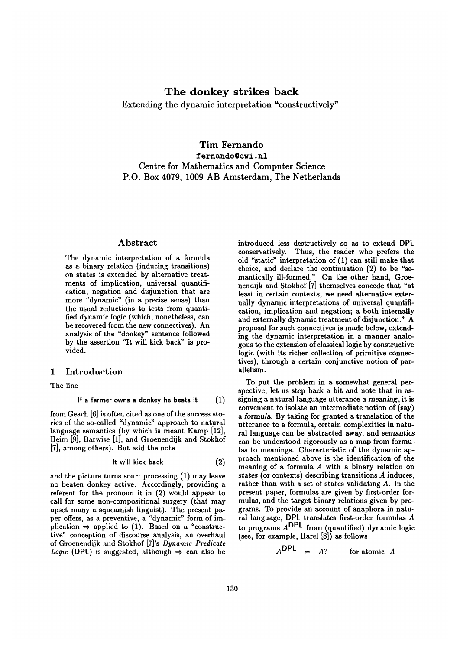# **The donkey strikes back**

**Extending the dynamic interpretation "constructively"** 

# **Tim Fernando**  fernando@cwi, nl **Centre for Mathematics and Computer Science P.O. Box 4079, 1009 AB Amsterdam, The Netherlands**

### **Abstract**

The dynamic interpretation of a formula as a binary relation (inducing transitions) on states is extended by alternative treatments of implication, universal quantification, negation and disjunction that are more "dynamic" (in a precise sense) than the usual reductions to tests from quantified dynamic logic (which, nonetheless, can be recovered from the new connectives). An analysis of the "donkey" sentence followed by the assertion "It will kick back" is provided.

## 1 Introduction

The line

If a farmer owns a donkey he beats it 
$$
(1)
$$

from Geach [6] is often cited as one of the success stories of the so-called "dynamic" approach to natural language semantics (by which is meant Kamp [12], Heim [9], Sarwise [1], and Groenendijk and Stokhof [7], among others). But add the note

$$
It will kick back \t(2)
$$

and the picture turns sour: processing (1) may leave no beaten donkey active. Accordingly, providing a referent for the pronoun it in (2) would appear to call for some non-compositional surgery (that may upset many a squeamish linguist). The present paper offers, as a preventive, a "dynamic" form of implication  $\Rightarrow$  applied to (1). Based on a "constructive" conception of discourse analysis, an overhaul of Groenendijk and Stokhof [7]'s *Dynamic Predicate Logic* (DPL) is suggested, although  $\Rightarrow$  can also be

introduced less destructively so as to extend DPL conservatively. Thus, the reader who prefers the old "static" interpretation of (1) can still make that choice, and declare the continuation (2) to be "semantically ill-formed." On the other hand, Groenendijk and Stokhof [7] themselves concede that "at least in certain contexts, we need alternative externally dynamic interpretations of universal quantification, implication and negation; a both internally and externally dynamic treatment of disjunction." A proposal for such connectives is made below, extending the dynamic interpretation in a manner analogous to the extension of classical logic by constructive logic (with its richer collection of primitive connectives), through a certain conjunctive notion of parallelism.

To put the problem in a somewhat general perspective, let us step back a bit and note that in assigning a natural language utterance a meaning, it is convenient to isolate an intermediate notion of (say) a formula. By taking for granted a translation of the utterance to a formula, certain complexities in natural language can be abstracted away, and *semantics*  can be understood rigorously as a map from formulas to meanings. Characteristic of the dynamic approach mentioned above is the identification of the meaning of a formula A with a binary relation on states (or contexts) describing transitions A induces, rather than with a set of states validating  $A$ . In the present paper, formulas are given by first-order formulas, and the target binary relations given by programs. To provide an account of anaphora in natural language, DPL translates first-order formulas A to programs  $A<sup>DPL</sup>$  from (quantified) dynamic logic **(see, for example, Harel [8]) as follows** 

$$
A^{DPL} = A? \qquad \text{for atomic } A
$$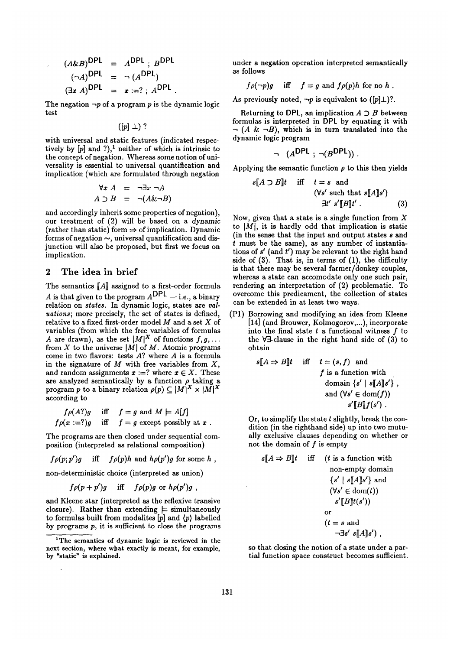$$
(A\&B)^{\text{DPL}} = A^{\text{DPL}}; B^{\text{DPL}}(\neg A)^{\text{DPL}} = \neg (A^{\text{DPL}})(\exists x A)^{\text{DPL}} = x := ?; A^{\text{DPL}}.
$$

The negation  $\neg p$  of a program p is the dynamic logic test

 $([p] \perp)$  ?

with universal and static features (indicated respectively by  $[p]$  and ?),<sup>1</sup> neither of which is intrinsic to the concept of negation. Whereas some notion of universality is essential to universal quantification and implication (which are formulated through negation

$$
\forall x A = \neg \exists x \neg A
$$
  

$$
A \supset B = \neg (A \& \neg B)
$$

and accordingly inherit some properties of negation), our treatment of (2) will be based on a *dynamic*  (rather than static) form  $\Rightarrow$  of implication. Dynamic forms of negation  $\sim$ , universal quantification and disjunction will also be proposed, but first we focus on implication.

## **2 The idea in brief**

The semantics [A] assigned to a first-order formula A is that given to the program  $A^{DPL}$  - i.e., a binary relation on *states*. In dynamic logic, states are *valuations;* more precisely, the set of states is defined, relative to a fixed first-order model  $M$  and a set  $X$  of variables (from which the free variables of formulas A are drawn), as the set  $|M|^X$  of functions  $f, g, \ldots$ from X to the universe  $|M|$  of M. Atomic programs come in two flavors: tests  $A$ ? where  $A$  is a formula in the signature of  $M$  with free variables from  $X$ , and random assignments  $x := ?$  where  $x \in X$ . These are analyzed semantically by a function  $\rho$  taking a program p to a binary relation  $\rho(p) \subseteq |M|^X \times |M|^X$ according to

$$
f \rho(A?)g \quad \text{iff} \quad f = g \text{ and } M \models A[f]
$$
  

$$
f \rho(x := ?)g \quad \text{iff} \quad f = g \text{ except possibly at } x.
$$

The programs are then closed under sequential composition (interpreted as relational composition)

$$
f\rho(p;p')g
$$
 iff  $f\rho(p)h$  and  $h\rho(p')g$  for some h,

non-deterministic choice (interpreted as union)

$$
f \rho(p+p')g
$$
 iff  $f \rho(p)g$  or  $h \rho(p')g$ ,

and Kleene star (interpreted as the reflexive transive closure). Rather than extending  $\models$  simultaneously to formulas built from modalites  $[p]$  and  $\langle p \rangle$  labelled by programs  $p$ , it is sufficient to close the programs under a negation operation interpreted semantically as follows

$$
f \rho(\neg p)g
$$
 iff  $f = g$  and  $f \rho(p)h$  for no h.

As previously noted,  $\neg p$  is equivalent to ([p] $\perp$ )?.

Returning to DPL, an implication  $A \supset B$  between formulas is interpreted in DP1 by equating it with  $\lnot$  (A &  $\lnot B$ ), which is in turn translated into the dynamic logic program

$$
\neg (A^{DPL} ; \neg (B^{DPL})) .
$$

Applying the semantic function  $\rho$  to this then yields

$$
s[A \supset B]t \quad \text{iff} \quad t = s \quad \text{and}
$$
  

$$
(\forall s' \text{ such that } s[A]s')
$$
  

$$
\exists t' \ s'[B]t' . \tag{3}
$$

Now, given that a state is a single function from  $X$ to  $|M|$ , it is hardly odd that implication is static (in the sense that the input and output states s and t must be the same), as any number of instantiations of  $s'$  (and  $t'$ ) may be relevant to the right hand side of (3). That is, in terms of (1), the difficulty is that there may be several farmer/donkey couples, whereas a state can accomodate only one such pair, rendering an interpretation of (2) problematic. To overcome this predicament, the collection of states can be extended in at least two ways.

(P1) Borrowing and modifying an idea from Kleene [14] (and Brouwer, Kolmogorov,...), incorporate into the final state  $t$  a functional witness  $f$  to the V3-clause in the right hand side of (3) to obtain

$$
s[A \Rightarrow B]t \quad \text{iff} \quad t = (s, f) \quad \text{and}
$$
\n
$$
f \text{ is a function with}
$$
\n
$$
\text{domain } \{s' \mid s[A]s'\} \ ,
$$
\n
$$
\text{and } (\forall s' \in \text{dom}(f))
$$
\n
$$
s'[B]f(s') \ .
$$

Or, to simplify the state  $t$  slightly, break the condition (in the righthand side) up into two mutually exclusive clauses depending on whether or not the domain of  $f$  is empty

$$
s[A \Rightarrow B]t
$$
 iff  $(t \text{ is a function with}$   
non-empty domain  
 $\{s' \mid s[A]s'\}$  and  
 $(\forall s' \in \text{dom}(t))$   
 $s'[B]t(s'))$   
or  
 $(t = s \text{ and}$   
 $\neg \exists s' s[A]s')$ ,

so that closing the notion of a state under a partial function space construct becomes sufficient.

<sup>&</sup>lt;sup>1</sup>The semantics of dynamic logic is reviewed in the next section, where what exactly is meant, for example, by "static" is explained.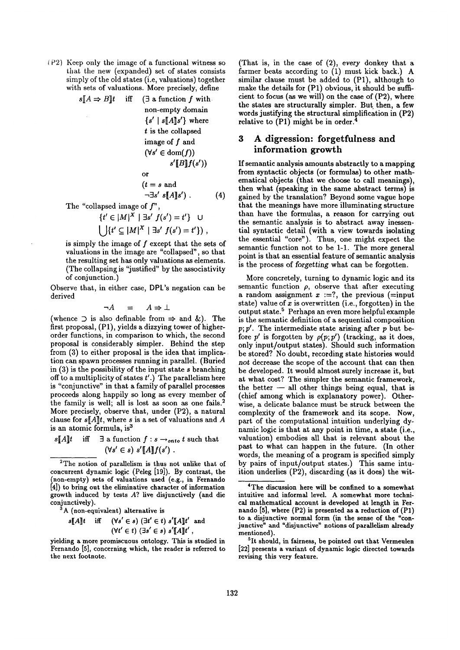i P2) Keep only the image of a functional witness so that the new (expanded) set of states consists simply of the old states (i.e, valuations) together with sets of valuations. More precisely, define

| $s[[A \Rightarrow B]]t$ iff    | $\exists$ a function f with<br>non-empty domain                                                                                                                                                                                                                 |     |
|--------------------------------|-----------------------------------------------------------------------------------------------------------------------------------------------------------------------------------------------------------------------------------------------------------------|-----|
|                                | $\{s' \mid s[A]s'\}\$ where                                                                                                                                                                                                                                     |     |
|                                | $t$ is the collapsed                                                                                                                                                                                                                                            |     |
|                                | image of $f$ and                                                                                                                                                                                                                                                |     |
|                                | $(\forall s' \in \text{dom}(f))$                                                                                                                                                                                                                                |     |
|                                | s'[B]f(s')                                                                                                                                                                                                                                                      |     |
|                                | or                                                                                                                                                                                                                                                              |     |
|                                | $(t = s \text{ and})$                                                                                                                                                                                                                                           |     |
|                                | $\neg \exists s' s[[A]]s'$ ).                                                                                                                                                                                                                                   | (4) |
| The "collapsed image of $f$ ", |                                                                                                                                                                                                                                                                 |     |
|                                | $(M = 13.5)X + 7.1 - 60.1X - 10.1X + 10.1X + 10.1X + 10.1X + 10.1X + 10.1X + 10.1X + 10.1X + 10.1X + 10.1X + 10.1X + 10.1X + 10.1X + 10.1X + 10.1X + 10.1X + 10.1X + 10.1X + 10.1X + 10.1X + 10.1X + 10.1X + 10.1X + 10.1X + 10.1X + 10.1X + 10.1X + 10.1X + 1$ |     |

 ${t' \in |M|^{\mathcal{X}} \mid \exists s' \ f(s') = t'}$  U  $\left\{ \left| \{t' \subseteq |M|^X \mid \exists s' \ f(s') = t' \} \right| \right\},$ 

is simply the image of  $f$  except that the sets of valuations in the image are "collapsed", so that the resulting set has only valuations as elements. (The collapsing is "justified" by the associativity of conjunction.)

Observe that, in either case, DPL's negation can be derived

$$
\neg A = A \Rightarrow \bot
$$

(whence  $\supset$  is also definable from  $\Rightarrow$  and &). The first proposal, (P1), yields a dizzying tower of higherorder functions, in comparison to which, the second proposal is considerably simpler. Behind the step from (3) to either proposal is the idea that implication can spawn processes running in parallel. (Buried in  $(3)$  is the possibility of the input state s branching off to a multiplicity of states  $t'.$  The parallelism here is "conjunctive" in that a family of parallel processes proceeds along happily so long as every member of the family is well; all is lost as soon as one fails. 2 More precisely, observe that, under (P2), a natural clause for  $s[A]t$ , where s is a set of valuations and A is an atomic formula, is<sup>3</sup>

 $s[[A]]t$  iff  $\exists$  a function  $f : s \rightarrow_{onto} t$  such that  $(\forall s' \in s) \ s' [A] f(s')$ .

<sup>2</sup>The notion of parallelism is thus not unlike that of concurrent dynamic logic (Peleg [19]). By contrast, the non-empty) sets of valuations used (e.g., in Fernando [4]) to bring out the eliminative character of information growth induced by tests A? live disjunctively (and die conjunctively).

 $3A$  (non-equivalent) alternative is

$$
s[\![A]\!]t \quad \text{iff} \quad (\forall s' \in s) \; (\exists t' \in t) \; s'[\![A]\!]t' \text{ and}
$$

$$
(\forall t' \in t) \; (\exists s' \in s) \; s'[\![A]\!]t',
$$

(That is, in the case of (2), every donkey that a farmer beats according to (1) must kick back.) A similar clause must be added to (P1), although to make the details for (P1) obvious, it should be sufficient to focus (as we will) on the case of (P2), where the states are structurally simpler. But then, a few words justifying the structural simplification in (P2) relative to  $(P1)$  might be in order.

# **3 A digression: forgetfulness and information growth**

If semantic analysis amounts abstractly to a mapping from syntactic objects (or formulas) to other mathematical objects (that we choose to call meanings), then what (speaking in the same abstract terms) is gained by the translation? Beyond some vague hope that the meanings have more illuminating structure than have the formulas, a reason for carrying out the semantic analysis is to abstract away inessential syntactic detail (with a view towards isolating the essential "core"). Thus, one might expect the semantic function not to be 1-1. The more general point is that an essential feature of semantic analysis is the process of *forgetting* what can be forgotten.

More concretely, turning to dynamic logic and its semantic function  $\rho$ , observe that after executing a random assignment  $x := ?$ , the previous (=input state) value of  $x$  is overwritten (i.e., forgotten) in the output state.<sup>5</sup> Perhaps an even more helpful example is the semantic definition of a sequential composition  $p; p'$ . The intermediate state arising after  $p$  but before  $p'$  is forgotten by  $\rho(p;p')$  (tracking, as it does, only input/output states). Should such information be stored? No doubt, recording state histories would *not* decrease the scope of the account that can then be developed. It would almost surely increase it, but at what cost? The simpler the semantic framework, the better  $-$  all other things being equal, that is (chief among which is explanatory power). Otherwise, a delicate balance must be struck between the complexity of the framework and its scope. Now, part of the computational intuition underlying dynamic logic is that at any point in time, a state (i.e., valuation) embodies all that is relevant about the past to what can happen in the future. (In other words, the meaning of a program is specified simply by pairs of input/output states.) This same intuition underlies (P2), discarding (as it does) the wit-

yielding a more promiscuous ontology. This is studied in Fernando [5], concerning which, the reader is referred **to**  the next **footnote.** 

<sup>4</sup>The discussion here will be confined to a somewhat intuitive and informal level. A somewhat more technical mathematical account is developed at length in Fernando [5], where (P2) is presented as a reduction of (P1) to a disjunctive normal form (in the sense of the "conjunctive" and "disjunctive" notions of parallelism already mentioned).

<sup>5</sup>It should, in fairness, be **pointed out** that Vermeulen [22] presents a variant of dynamic logic directed towards revising this very feature.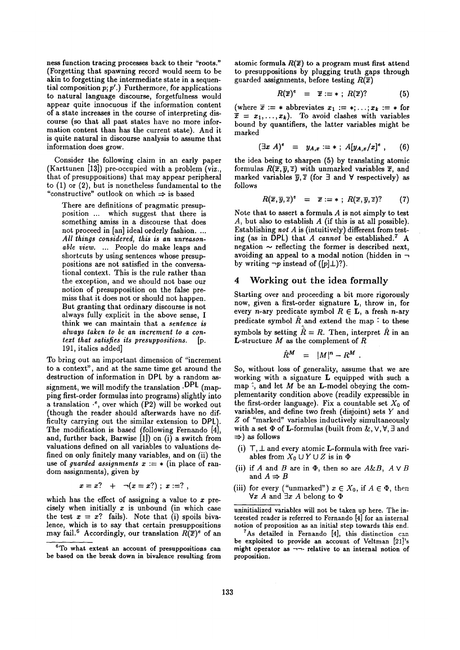ness function tracing processes back to their "roots." (Forgetting that spawning record would seem to be akin to forgetting the intermediate state in a sequential composition  $p; p'$ .) Furthermore, for applications to natural language discourse, forgetfulness would appear quite innocuous if the information content of a state increases in the course of interpreting discourse (so that all past states have no more information content than has the current state). And it is quite natural in discourse analysis to assume that information does grow.

Consider the following claim in an early paper (Karttunen [13]) pre-occupied with a problem (viz., that of presuppositions) that may appear peripheral to (1) or (2), but is nonetheless fundamental to the "constructive" outlook on which  $\Rightarrow$  is based

There are definitions of pragmatic presupposition ... which suggest that there is something amiss in a discourse that does not proceed in [an] ideal orderly fashion. ... *All things considered, this is an unreasonable view ....* People do make leaps and shortcuts by using sentences whose presuppositions are not satisfied in the conversational context. This is the rule rather than the exception, and we should not base our notion of presupposition on the false premiss that it does not or should not happen. But granting that ordinary discourse is not always fully explicit in the above sense, I think we can maintain that a *sentence is always taken to be an increment to a context that satisfies its presuppositions.* [p. 191, italics added]

To bring out an important dimension of "increment to a context", and at the same time get around the destruction of information in DPL by a random assignment, we will modify the translation . DPL (mapping first-order formulas into programs) slightly into a translation  $\cdot$ , over which (P2) will be worked out (though the reader should afterwards have no difficulty carrying out the similar extension to DPI.). The modification is based (following Fernando [4], and, further back, Barwise  $[1]$ ) on  $(i)$  a switch from valuations defined on all variables to valuations defined on only finitely many variables, and on (ii) the use of *guarded assignments*  $x := *$  (in place of random assignments), given by

$$
x = x? + \neg(x = x?); x := ? ,
$$

which has the effect of assigning a value to  $x$  precisely when initially  $x$  is unbound (in which case the test  $x = x$ ? fails). Note that (i) spoils bivalence, which is to say that certain presuppositions may fail.<sup>6</sup> Accordingly, our translation  $R(\bar{x})^e$  of an atomic formula  $R(\vec{x})$  to a program must first attend to presuppositions by plugging truth gaps through guarded assignments, before testing  $R(\bar{x})$ 

$$
R(\overline{x})^e = \overline{x} := * ; R(\overline{x})?
$$
 (5)

(where  $\overline{x} := *$  abbreviates  $x_1 := *; \ldots; x_k := *$  for  $\overline{x} = x_1,...,x_k$ ). To avoid clashes with variables bound by quantifiers, the latter variables might be marked

$$
(\exists x \; A)^e = y_{A,x} := * \; ; \; A[y_{A,x}/x]^e \; , \qquad (6)
$$

the idea being to sharpen (5) by translating atomic formulas  $R(\bar{x}, \bar{y}, \bar{z})$  with unmarked variables  $\bar{x}$ , and marked variables  $\overline{y}$ ,  $\overline{z}$  (for  $\exists$  and  $\forall$  respectively) as follows

$$
R(\overline{x}, \overline{y}, \overline{z})^e = \overline{x} := * ; R(\overline{x}, \overline{y}, \overline{z}) ? \qquad (7)
$$

Note that to assert a formula  $A$  is not simply to test A, but also to establish  $A$  (if this is at all possible). Establishing *not A* is (intuitively) different from testing (as in DPL) that  $A$  cannot be established.<sup>7</sup> A negation  $\sim$  reflecting the former is described next, avoiding an appeal to a modal notion (hidden in  $\neg$ by writing  $\neg p$  instead of ([p] $\perp$ )?).

## 4 Working out the idea formally

Starting over and proceeding a bit more rigorously now, given a first-order signature L, throw in, for every *n*-ary predicate symbol  $R \in L$ , a fresh *n*-ary predicate symbol  $\hat{R}$  and extend the map  $\hat{\cdot}$  to these symbols by setting  $\hat{R} = R$ . Then, interpret  $\hat{R}$  in an **L**-structure  $M$  as the complement of  $R$ 

$$
\hat{R}^M = |M|^n - R^M.
$$

So, without loss of generality, assume that we are working with a signature L equipped with such a map  $\hat{\cdot}$ , and let M be an **L**-model obeying the complementarity condition above (readily expressible in the first-order language). Fix a countable set  $X_0$  of variables, and define two fresh (disjoint) sets Y and Z of "marked" variables inductively simultaneously with a set  $\Phi$  of **L**-formulas (built from &,  $\vee$ ,  $\forall$ ,  $\exists$  and  $\Rightarrow$ ) as follows

- (i)  $T, \perp$  and every atomic L-formula with free variables from  $X_0 \cup Y \cup Z$  is in  $\Phi$
- (ii) if A and B are in  $\Phi$ , then so are  $A\&B$ ,  $A \vee B$ and  $A \Rightarrow B$
- (iii) for every ("unmarked")  $x \in X_0$ , if  $A \in \Phi$ , then  $\forall x \; A$  and  $\exists x \; A$  belong to  $\Phi$

uninitialized variables will not be taken up here. The interested reader is referred to Fernando [4] for an internal **notion** of proposition as an initial step towards this end.

As detailed in Fernando  $[4]$ , this distinction can be **exploited to provide an account** of Veltman [21]'s might operator as  $\neg\neg$  relative to an internal notion of proposition.

<sup>&</sup>lt;sup>6</sup>To what extent an account of presuppositions can be based **on the break down** in bivalence resulting from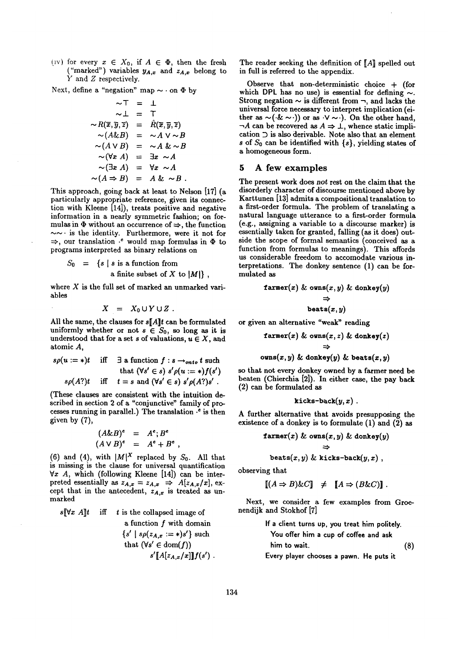(iv) for every  $x \in X_0$ , if  $A \in \Phi$ , then the fresh ("marked") variables  $y_{A,x}$  and  $z_{A,x}$  belong to Y and Z respectively.

Next, define a "negation" map  $\sim$   $\cdot$  on  $\Phi$  by

$$
\sim T = \perp
$$
  
\n
$$
\sim \perp = T
$$
  
\n
$$
\sim R(\overline{x}, \overline{y}, \overline{z}) = \hat{R}(\overline{x}, \overline{y}, \overline{z})
$$
  
\n
$$
\sim (A \& B) = \sim A \lor \sim B
$$
  
\n
$$
\sim (A \lor B) = \sim A \& \sim B
$$
  
\n
$$
\sim (\forall x \ A) = \exists x \sim A
$$
  
\n
$$
\sim (\exists x \ A) = \forall x \sim A
$$
  
\n
$$
\sim (A \Rightarrow B) = A \& \sim B
$$
.

This approach, going back at least to Nelson [17] (a particularly appropriate reference, given its connection with Kleene [14]), treats positive and negative information in a nearly symmetric fashion; on formulas in  $\Phi$  without an occurrence of  $\Rightarrow$ , the function  $\sim$  is the identity. Furthermore, were it not for  $\Rightarrow$ , our translation  $\cdot e$  would map formulas in  $\Phi$  to programs interpreted as binary relations on

$$
S_0 = \{s \mid s \text{ is a function from} \text{ a finite subset of } X \text{ to } |M|\},
$$

where  $X$  is the full set of marked an unmarked variables

$$
X = X_0 \cup Y \cup Z.
$$

All the same, the clauses for *s[A]t* can be formulated uniformly whether or not  $s \in S_0$ , so long as it is understood that for a set s of valuations,  $u \in X$ , and atomic A,

$$
s\rho(u := *)t \quad \text{iff} \quad \exists \text{ a function } f : s \rightarrow_{onto} t \text{ such} \\ \text{that } (\forall s' \in s) \ s'\rho(u := *)f(s') \\ s\rho(A?)t \quad \text{iff} \quad t = s \text{ and } (\forall s' \in s) \ s'\rho(A?)s' \, .
$$

(These clauses are consistent with the intuition described in section 2 of a "conjunctive" family of processes running in parallel.) The translation  $\cdot$  is then given by (7),

$$
(A \& B)^e = A^e; B^e
$$
  

$$
(A \vee B)^e = A^e + B^e,
$$

(6) and (4), with  $|M|^X$  replaced by  $S_0$ . All that is missing is the clause for universal quantification  $\forall x$  A, which (following Kleene [14]) can be interpreted essentially as  $z_{A,x} = z_{A,x} \Rightarrow A[z_{A,x}/x],$  except that in the antecedent,  $z_{A,x}$  is treated as unmarked

 $s\llbracket \forall x \ A \rrbracket t$  iff t is the collapsed image of

a function 
$$
f
$$
 with domain  
\n $\{s' \mid s\rho(z_{A,x} := *)s'\}$  such  
\nthat  $(\forall s' \in \text{dom}(f))$   
\n $s'[\![A[z_{A,x}/x]\!]]\!]f(s')$ .

The reader seeking the definition of  $[A]$  spelled out in full is referred to the appendix.

Observe that non-deterministic choice + (for which DPL has no use) is essential for defining  $\sim$ . Strong negation  $\sim$  is different from  $\neg$ , and lacks the universal force necessary to interpret implication (either as  $\sim$  (.&  $\sim$ .)) or as  $\cdot$ V  $\sim$ .). On the other hand,  $\neg A$  can be recovered as  $A \Rightarrow \bot$ , whence static implication D is also derivable. Note also that an element s of  $S_0$  can be identified with  $\{s\}$ , yielding states of a homogeneous form.

### **5 A** few examples

The present work does not rest on the claim that the disorderly character of discourse mentioned above by Karttunen [13] admits a compositional translation to a first-order formula. The problem of translating a natural language utterance to a first-order formula (e.g., assigning a variable to a discourse marker) is essentially taken for granted, falling (as it does) outside the scope of formal semantics (conceived as a function from formulas to meanings). This affords us considerable freedom to accomodate various interpretations. The donkey sentence (1) can be formulated as

$$
\begin{aligned}\n\texttt{farmer}(x) \& \texttt{owns}(x, y) \& \texttt{donkey}(y) \\
& \Rightarrow \\
& \texttt{beats}(x, y)\n\end{aligned}
$$

**or given an alternative "weak" reading** 

$$
\begin{aligned}\n\texttt{farmer}(x) &\& \texttt{owns}(x, z) &\& \texttt{donkey}(z) \\
&\Rightarrow \\
\texttt{owns}(x, y) &\& \texttt{donkey}(y) &\& \texttt{beats}(x, y)\n\end{aligned}
$$

so that not every donkey owned by a farmer need be beaten (Chierchia [2]). In either case, the pay back (2) can be formulated as

$$
{\tt kicks\text{-}back}(y,x) \ .
$$

A further alternative that avoids presupposing the existence of a donkey is to formulate (1) and (2) as

$$
\begin{aligned} \mathtt{farmer}(x) \; &\& \; \mathtt{owns}(x,y) \; &\&\; \mathtt{donkey}(y) \\ &\Rightarrow \\ \mathtt{beats}(x,y) \; &\&\; \mathtt{kicks\text{-}back}(y,x) \; , \end{aligned}
$$

observing that

$$
[(A \Rightarrow B) \& C] \neq [A \Rightarrow (B \& C)].
$$

**N ext,**  we consider a few examples from Groe **nendijk and Stokhof [7]** 

If a client turns up, you treat him policy. You offer him a cup of coffee and ask him to wait. 
$$
(8)
$$

**Every player chooses a pawn. He puts it**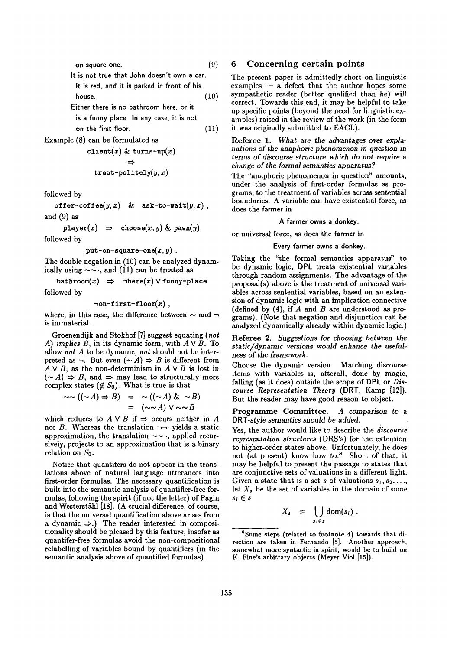**on square one.**  It is not true that John doesn't own a car. It is red, and it is parked in front of his **house.**  Either there is no bathroom here, or it **is** a funny place. In any case, it is not on the first floor. **(9) (10)**  (11)

Example (8) can be formulated as

```
client(x) & turns-up(x)
              \Rightarrow
```

$$
\mathtt{treat\text{-}politely}(y,x)
$$

followed by

 $\texttt{offer-cofree}(y,x)$  & ask-to-wait $(y,x)$ , and (9) as

 $\texttt{player}(x) \Rightarrow \texttt{choose}(x, y) \& \texttt{pawn}(y)$ 

followed by

put-on-square-one $(x, y)$ .

The double negation in (10) can be analyzed dynamically using  $\sim \sim$ , and (11) can be treated as

bathroom $(x)$   $\Rightarrow$   $\neg$ here $(x) \vee$  funny-place followed by

$$
\neg \texttt{on-first-floor}(\texttt{x}) \ ,
$$

where, in this case, the difference between  $\sim$  and  $\sim$ is immaterial.

Groenendijk and Stokhof [7] suggest equating *(not A) implies B,* in its dynamic form, with  $A \vee B$ . To allow *not A* to be dynamic, *not* should not be interpreted as  $\neg$ . But even  $(\sim A) \Rightarrow B$  is different from  $A \vee B$ , as the non-determinism in  $A \vee B$  is lost in  $(\sim A) \Rightarrow B$ , and  $\Rightarrow$  may lead to structurally more complex states  $(\notin S_0)$ . What is true is that

$$
\sim((\sim A)\Rightarrow B) = \sim((\sim A) \& \sim B)
$$
  
= 
$$
(\sim \sim A) \vee \sim \sim B
$$

which reduces to  $A \vee B$  if  $\Rightarrow$  occurs neither in A nor B. Whereas the translation  $\neg\neg$  vields a static approximation, the translation  $\sim \sim$  -, applied recursively, projects to an approximation that is a binary relation on  $S_0$ .

Notice that quantifers do not appear in the translations above of natural language utterances into first-order formulas. The necessary quantification is built into the semantic analysis of quantifier-free formulas, following the spirit (if not the letter) of Pagin and Westerståhl [18]. (A crucial difference, of course, is that the universal quantification above arises from a dynamic  $\Rightarrow$ .) The reader interested in compositionality should be pleased by this feature, insofar as quantifer-free formulas avoid the non-compositional relabelling of variables bound by quantifiers (in the semantic analysis above of quantified formulas).

## 6 Concerning certain points

The present paper is admittedly short on linguistic examples  $-$  a defect that the author hopes some sympathetic reader (better qualified than he) will correct. Towards this end, it may be helpful to take up specific points (beyond the need for linguistic examples) raised in the review of the work (in the form it was originally submitted to EACL).

Referee 1. *What* are *the advantages over explanations of the anaphoric phenomenon in question in terms of discourse structure which do not* require a *change of the formal semantics apparatus?* 

The "anaphoric phenomenon in question" amounts, under the analysis of first-order formulas as programs, to the treatment of variables across sentential boundaries. A variable can have existential force, as does the farmer in

#### **A farmer owns a donkey,**

or universal force, as does the farmer in

#### **Every farmer owns a donkey.**

Taking the "the formal semantics apparatus" to be dynamic logic, DPL treats existential variables through random assignments. The advantage of the proposal(s) above is the treatment of universal variables across sentential variables, based on an extension of dynamic logic with an implication connective (defined by  $(4)$ , if A and B are understood as programs). (Note that negation and disjunction can be analyzed dynamically already within dynamic logic.)

Referee 2. *Suggestions for choosing between the static/dynamic versions would enhance the usefulness of* the *framework.* 

Choose the dynamic version. Matching discourse items with variables is, afterall, done by magic, falling (as it does) outside the scope of DPL or *Discourse Representation Theory* (DRT, Kamp [12]). But the reader may have good reason to object.

Programme Committee. *A comparison to a DRT-style semantics should be added.* 

Yes, the author would like to describe the *discourse representation structures* (DRS's) for the extension to higher-order states above. Unfortunately, he does not (at present) know how to.<sup>8</sup> Short of that, it may be helpful to present the passage to states that are conjunctive sets of valuations in a different light. Given a state that is a set s of valuations  $s_1, s_2, \ldots$ let  $X_s$ , be the set of variables in the domain of some  $s_i \in s$ 

$$
X_s = \bigcup_{s_i \in s} \text{dom}(s_i) .
$$

<sup>8</sup>Some steps (related to footnote 4) towards that direction are taken in Fernando [5]. Another approach, somewhat more syntactic in spirit, would be to build on K. Fine's arbitrary objects (Meyer Viol [15]).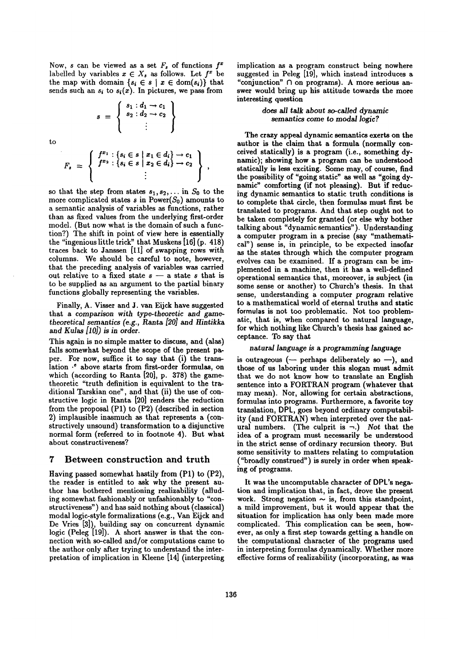Now, s can be viewed as a set  $F_s$  of functions  $f^x$ labelled by variables  $x \in X_s$  as follows. Let  $f^x$  be the map with domain  $\{s_i \in s \mid x \in \text{dom}(s_i)\}\)$  that sends such an  $s_i$  to  $s_i(x)$ . In pictures, we pass from

 $s = \left\{ \begin{array}{c} s_1 : d_1 \rightarrow c_1 \\ s_2 : d_2 \rightarrow c_2 \\ \vdots \end{array} \right\}$ 

to

$$
F_s = \left\{ \begin{array}{c} f^{x_1} : \{s_i \in s \mid x_1 \in d_i\} \to c_1 \\ f^{x_2} : \{s_i \in s \mid x_2 \in d_i\} \to c_2 \\ \vdots \end{array} \right\},
$$

so that the step from states  $s_1, s_2, \ldots$  in  $S_0$  to the more complicated states s in Power( $S_0$ ) amounts to a semantic analysis of variables as functions, rather than as fixed values from the underlying first-order model. (But now what is the domain of such a function?) The shift in point of view here is essentially the "ingenious little trick" that Muskens  $[16]$  (p. 418) traces back to Janssen [11] of swapping rows with columns. We should be careful to note, however, that the preceding analysis of variables was carried out relative to a fixed state  $s - a$  state s that is to be supplied as an argument to the partial binary functions globally representing the variables.

Finally, A. Visser and J. van Eijck have suggested that a *comparison with type-theoretic and gametheoretical semantics (e.g.,* Ranta *[20] and Hintikka*  and *Kulas [10])* is in *order.* 

This again is no simple matter to discuss, and (alas) fails somewhat beyond the scope of the present paper. For now, suffice it to say that (i) the translation  $\cdot$  above starts from first-order formulas, on which (according to Ranta [20], p. 378) the gametheoretic "truth definition is equivalent to the traditional Tarskian one", and that (ii) the use of constructive logic in Ranta [20] renders the reduction from the proposal (P1) to (P2) (described in section 2) implausible inasmuch as that represents a (constructively unsound) transformation to a disjunctive normal form (referred to in footnote 4). But what about constructiveness?

### 7 Between construction and truth

Having passed somewhat hastily from (P1) to (P2), the reader is entitled to ask why the present author has bothered mentioning realizability (alluding somewhat fashionably or unfashionably to "constructiveness") and has said nothing about (classical) modal logic-style formalizations (e.g., Van Eijck and De Vries [3]), building say on concurrent dynamic logic (Peleg [19]). A short answer is that the connection with so-called and/or computations came to the author only after trying to understand the interpretation of implication in Kleene [14] (interpreting implication as a program construct being nowhere suggested in Peleg [19], which instead introduces a "conjunction" fl on programs). A more serious answer would bring up his attitude towards the more interesting question

#### *does all talk about so-called dynamic semantics come to modal logic?*

The crazy appeal dynamic semantics exerts on **the**  author is the claim that a formula (normally conceived statically) is a program (i.e., something dynamic); showing how a program can be understood statically is less exciting. Some may, of course, **find**  the possibility of "going static" as well as "going dynamic" comforting (if not pleasing). But if reducing dynamic semantics to static truth conditions is to complete that circle, then formulas must first be translated to programs. And that step ought not to be taken completely for granted (or else why bother talking about "dynamic semantics"). Understanding a computer program in a precise (say "mathematical") sense is, in principle, to be expected insofar as the states through which the computer program evolves can be examined. If a program can be implemented in a machine, then it has a well-defined operational semantics that, moreover, is subject **(in**  some sense or another) to Church's thesis. In that sense, understanding a computer program relative to a mathematical world of eternal truths and **static**  formulas is not too problematic. Not too problematic, that is, when compared to natural language, for which nothing like Church's thesis has gained acceptance. To say that

#### natural language *is* a programming language

is outrageous (- perhaps deliberately so -), and those of us laboring under this slogan must admit that we do not know how to translate an English sentence into a FORTRAN program (whatever that may mean). Nor, allowing for certain abstractions, formulas into programs. Furthermore, a favorite toy translation, DPL, goes beyond ordinary computability (and FORTRAN) when interpreted over the natural numbers. (The culprit is  $\neg$ .) Not that the idea of a program must necessarily be understood in the strict sense of ordinary recursion theory. But some sensitivity to matters relating to computation ("broadly construed") is surely in order when speaking of programs.

It was the uncomputable character of DPL's negation and implication that, in fact, drove the present work. Strong negation  $\sim$  is, from this standpoint, a mild improvement, but it would appear that the situation for implication has only been made more complicated. This complication can be seen, however, as only a first step towards getting a handle on the computational character of the programs used in interpreting formulas dynamically. Whether more effective forms of realizability (incorporating, as was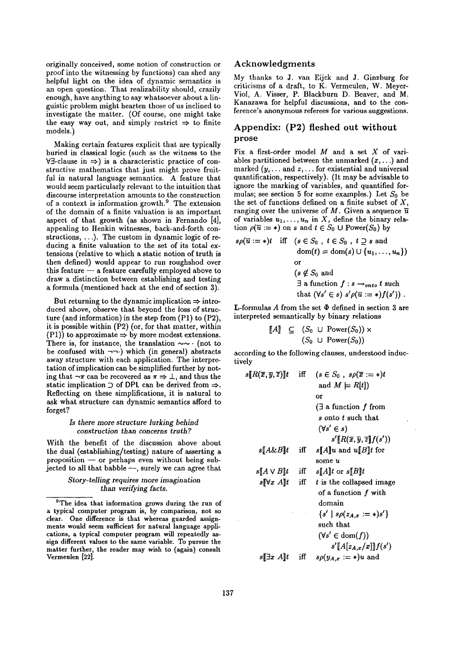originally conceived, some notion of construction or proof into the witnessing by functions) can shed any helpful light on the idea of dynamic semantics is an open question. That realizability should, crazily enough, have anything to say whatsoever about a linguistic problem might hearten those of us inclined to investigate the matter. (Of course, one might take the easy way out, and simply restrict  $\Rightarrow$  to finite models.)

Making certain features explicit that are typically buried in classical logic (such as the witness to the  $\forall \exists$ -clause in  $\Rightarrow$ ) is a characteristic practice of constructive mathematics that just might prove fruitful in natural language semantics. A feature that would seem particularly relevant to the intuition that discourse interpretation amounts to the construction of a context is information growth. 9 The extension of the domain of a finite valuation is an important aspect of that growth (as shown in Fernando [4], appealing to Henkin witnesses, back-and-forth constructions, ...). The custom in dynamic logic of reducing a finite valuation to the set of its total extensions (relative to which a static notion of truth is then defined) would appear to run roughshod over this feature  $-$  a feature carefully employed above to draw a distinction between establishing and testing a formula (mentioned back at the end of section 3).

But returning to the dynamic implication  $\Rightarrow$  introduced above, observe that beyond the loss of structure (and information) in the step from (P1) to (P2), it is possible within (P2) (or, for that matter, within (P1)) to approximate  $\Rightarrow$  by more modest extensions. There is, for instance, the translation  $\sim$   $\sim$   $\cdot$  (not to be confused with  $\neg\neg$ ) which (in general) abstracts away structure with each application. The interpretation of implication can be simplified further by noting that  $\neg \pi$  can be recovered as  $\pi \Rightarrow \bot$ , and thus the static implication  $\supset$  of DPL can be derived from  $\Rightarrow$ . Reflecting on these simplifications, it is natural to ask what structure can dynamic semantics afford to forget?

#### *Is there more structure lurking behind construction than concerns truth?*

With the benefit of the discussion above about the dual (establishing/testing) nature of asserting a proposition  $-$  or perhaps even without being subjected to all that babble  $-$ , surely we can agree that

#### *Story-telling requires* more *imagination than verifying facts.*

### **Acknowledgments**

My thanks to J. van Eijck and J. Ginzburg for criticisms of a draft, to K. Vermeulen, W. Meyer-Viol, A. Visser, P. Blackburn D. Beaver, and M. Kanazawa for helpful discussions, and to the conference's anonymous referees for various suggestions.

# Appendix: (P2) fleshed out without prose

Fix a first-order model  $M$  and a set  $X$  of variables partitioned between the unmarked  $(x, \ldots)$  and marked  $(y, \ldots)$  and  $z, \ldots$  for existential and universal quantification, respectively). (It may be advisable to ignore the marking of variables, and quantified formulas; see section 5 for some examples.) Let  $S_0$  be the set of functions defined on a finite subset of  $X$ , ranging over the universe of M. Given a sequence  $\overline{u}$ of variables  $u_1, \ldots, u_n$  in X, define the binary relation  $\rho(\overline{u} := *)$  on s and  $t \in S_0 \cup Power(S_0)$  by

$$
s\rho(\overline{u} := *)t \quad \text{iff} \quad (s \in S_0 \text{ , } t \in S_0 \text{ , } t \supseteq s \text{ and } \text{dom}(t) = \text{dom}(s) \cup \{u_1, \ldots, u_n\})
$$
\n
$$
\text{or}
$$
\n
$$
(s \notin S_0 \text{ and } \exists \text{ a function } f : s \rightarrow_{onto} t \text{ such } \text{that } (\forall s' \in s) \ s'\rho(\overline{u} := *)f(s')) .
$$

**L**-formulas A from the set  $\Phi$  defined in section 3 are interpreted semantically by binary relations

$$
\begin{array}{ll}\n[A] & \subseteq & (S_0 \cup \text{Power}(S_0)) \times \\
 & (S_0 \cup \text{Power}(S_0))\n\end{array}
$$

according to the following clauses, understood inductively

$$
s[\![R(\overline{x}, \overline{y}, \overline{z})]\!]t \quad \text{iff} \quad (s \in S_0, \ s\rho(\overline{x} := *)t
$$
\n
$$
\text{and } M \models R[t])
$$
\n
$$
\text{or}
$$
\n
$$
(\exists \ a \text{ function } f \text{ from } s \text{ onto } t \text{ such that } (\forall s' \in s)
$$
\n
$$
s'[\![R(\overline{x}, \overline{y}, \overline{z}]\!]f(s'))
$$
\n
$$
s[\![A \& B]\!]t \quad \text{iff} \quad s[\![A]\!]u \text{ and } u[\![B]\!]t \text{ for } \text{some } u
$$
\n
$$
s[\![A \lor B]\!]t \quad \text{iff} \quad s[\![A]\!]t \text{ or } s[\![B]\!]t
$$
\n
$$
s[\![\forall x \ A]\!]t \quad \text{iff} \quad t \text{ is the collapsed image of a function } f \text{ with } \text{domain}
$$
\n
$$
\{s' \mid s\rho(z_{A,x} := *)s'\}
$$
\n
$$
\text{such that}
$$
\n
$$
(\forall s' \in \text{dom}(f))
$$
\n
$$
s'[\![A[z_{A,x}/x]\!]]f(s')
$$
\n
$$
s[\![\exists x \ A]\!]t \quad \text{iff} \quad s\rho(y_{A,x} := *)u \text{ and}
$$

<sup>&</sup>lt;sup>9</sup>The idea that information grows during the run of a typical computer program is, by comparison, not so clear. One difference is that whereas guarded assignments would seem sufficient for natural language applications, a typical computer program will repeatedly assign different values to the same variable. To pursue the matter further, the reader may wish to (again) consult Vermeulen [22].